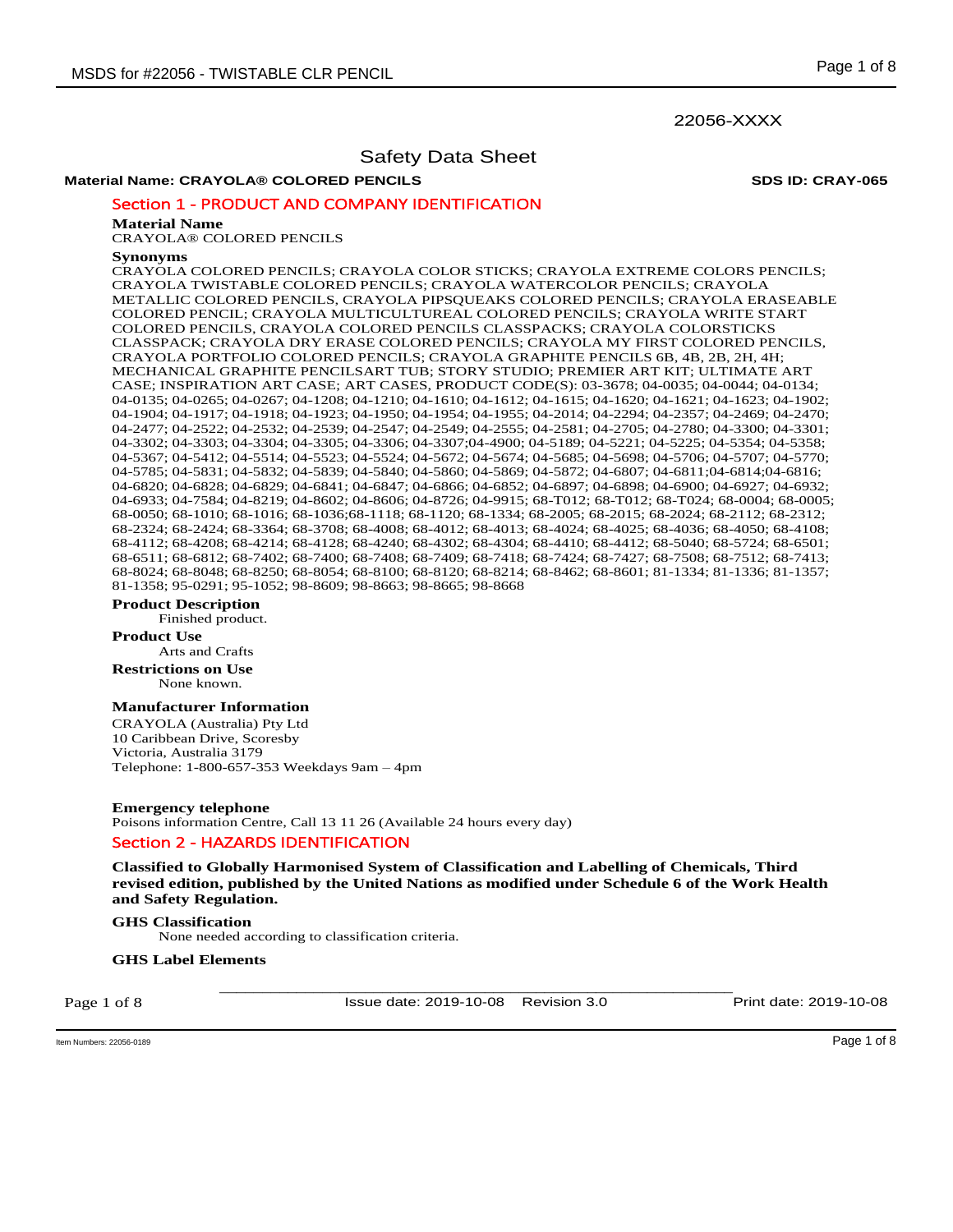## 22056-XXXX

# Safety Data Sheet

## **Material Name: CRAYOLA® COLORED PENCILS SDS ID: CRAY-065**

## Section 1 - PRODUCT AND COMPANY IDENTIFICATION

#### **Material Name**

CRAYOLA® COLORED PENCILS

#### **Synonyms**

CRAYOLA COLORED PENCILS; CRAYOLA COLOR STICKS; CRAYOLA EXTREME COLORS PENCILS; CRAYOLA TWISTABLE COLORED PENCILS; CRAYOLA WATERCOLOR PENCILS; CRAYOLA METALLIC COLORED PENCILS, CRAYOLA PIPSQUEAKS COLORED PENCILS; CRAYOLA ERASEABLE COLORED PENCIL; CRAYOLA MULTICULTUREAL COLORED PENCILS; CRAYOLA WRITE START COLORED PENCILS, CRAYOLA COLORED PENCILS CLASSPACKS; CRAYOLA COLORSTICKS CLASSPACK; CRAYOLA DRY ERASE COLORED PENCILS; CRAYOLA MY FIRST COLORED PENCILS, CRAYOLA PORTFOLIO COLORED PENCILS; CRAYOLA GRAPHITE PENCILS 6B, 4B, 2B, 2H, 4H; MECHANICAL GRAPHITE PENCILSART TUB; STORY STUDIO; PREMIER ART KIT; ULTIMATE ART CASE; INSPIRATION ART CASE; ART CASES, PRODUCT CODE(S): 03-3678; 04-0035; 04-0044; 04-0134; 04-0135; 04-0265; 04-0267; 04-1208; 04-1210; 04-1610; 04-1612; 04-1615; 04-1620; 04-1621; 04-1623; 04-1902; 04-1904; 04-1917; 04-1918; 04-1923; 04-1950; 04-1954; 04-1955; 04-2014; 04-2294; 04-2357; 04-2469; 04-2470; 04-2477; 04-2522; 04-2532; 04-2539; 04-2547; 04-2549; 04-2555; 04-2581; 04-2705; 04-2780; 04-3300; 04-3301; 04-3302; 04-3303; 04-3304; 04-3305; 04-3306; 04-3307;04-4900; 04-5189; 04-5221; 04-5225; 04-5354; 04-5358; 04-5367; 04-5412; 04-5514; 04-5523; 04-5524; 04-5672; 04-5674; 04-5685; 04-5698; 04-5706; 04-5707; 04-5770; 04-5785; 04-5831; 04-5832; 04-5839; 04-5840; 04-5860; 04-5869; 04-5872; 04-6807; 04-6811;04-6814;04-6816; 04-6820; 04-6828; 04-6829; 04-6841; 04-6847; 04-6866; 04-6852; 04-6897; 04-6898; 04-6900; 04-6927; 04-6932; 04-6933; 04-7584; 04-8219; 04-8602; 04-8606; 04-8726; 04-9915; 68-T012; 68-T012; 68-T024; 68-0004; 68-0005; 68-0050; 68-1010; 68-1016; 68-1036;68-1118; 68-1120; 68-1334; 68-2005; 68-2015; 68-2024; 68-2112; 68-2312; 68-2324; 68-2424; 68-3364; 68-3708; 68-4008; 68-4012; 68-4013; 68-4024; 68-4025; 68-4036; 68-4050; 68-4108; 68-4112; 68-4208; 68-4214; 68-4128; 68-4240; 68-4302; 68-4304; 68-4410; 68-4412; 68-5040; 68-5724; 68-6501; 68-6511; 68-6812; 68-7402; 68-7400; 68-7408; 68-7409; 68-7418; 68-7424; 68-7427; 68-7508; 68-7512; 68-7413; 68-8024; 68-8048; 68-8250; 68-8054; 68-8100; 68-8120; 68-8214; 68-8462; 68-8601; 81-1334; 81-1336; 81-1357; 81-1358; 95-0291; 95-1052; 98-8609; 98-8663; 98-8665; 98-8668

#### **Product Description**

Finished product.

#### **Product Use**

Arts and Crafts **Restrictions on Use**

None known.

## **Manufacturer Information**

CRAYOLA (Australia) Pty Ltd 10 Caribbean Drive, Scoresby Victoria, Australia 3179 Telephone: 1-800-657-353 Weekdays 9am – 4pm

**Emergency telephone**  Poisons information Centre, Call 13 11 26 (Available 24 hours every day) Section 2 - HAZARDS IDENTIFICATION

**Classified to Globally Harmonised System of Classification and Labelling of Chemicals, Third revised edition, published by the United Nations as modified under Schedule 6 of the Work Health and Safety Regulation.** 

## **GHS Classification**

None needed according to classification criteria.

#### **GHS Label Elements**

Page 1 of 8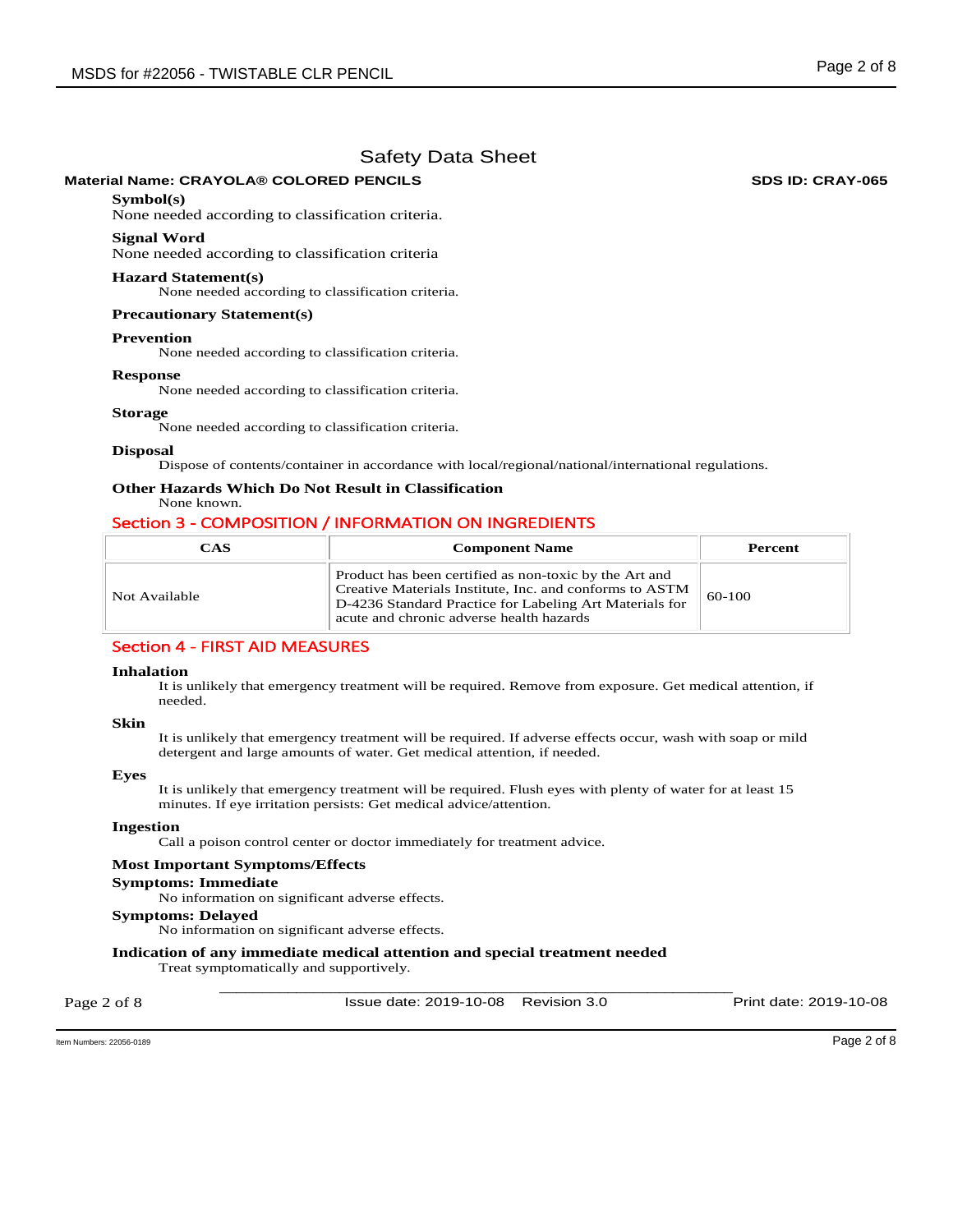## **Material Name: CRAYOLA® COLORED PENCILS SDS ID: CRAY-065**

## **Symbol(s)**

None needed according to classification criteria.

#### **Signal Word**

None needed according to classification criteria

#### **Hazard Statement(s)**

None needed according to classification criteria.

#### **Precautionary Statement(s)**

#### **Prevention**

None needed according to classification criteria.

#### **Response**

None needed according to classification criteria.

#### **Storage**

None needed according to classification criteria.

#### **Disposal**

Dispose of contents/container in accordance with local/regional/national/international regulations.

# **Other Hazards Which Do Not Result in Classification**

## None known.

## Section 3 - COMPOSITION / INFORMATION ON INGREDIENTS

| CAS           | <b>Component Name</b>                                                                                                                                                                                                    | Percent |
|---------------|--------------------------------------------------------------------------------------------------------------------------------------------------------------------------------------------------------------------------|---------|
| Not Available | Product has been certified as non-toxic by the Art and<br>Creative Materials Institute, Inc. and conforms to ASTM<br>D-4236 Standard Practice for Labeling Art Materials for<br>acute and chronic adverse health hazards | 60-100  |

## Section 4 - FIRST AID MEASURES

#### **Inhalation**

It is unlikely that emergency treatment will be required. Remove from exposure. Get medical attention, if needed.

#### **Skin**

It is unlikely that emergency treatment will be required. If adverse effects occur, wash with soap or mild detergent and large amounts of water. Get medical attention, if needed.

#### **Eyes**

It is unlikely that emergency treatment will be required. Flush eyes with plenty of water for at least 15 minutes. If eye irritation persists: Get medical advice/attention.

#### **Ingestion**

Call a poison control center or doctor immediately for treatment advice.

#### **Most Important Symptoms/Effects**

#### **Symptoms: Immediate**

No information on significant adverse effects.

## **Symptoms: Delayed**

No information on significant adverse effects.

# **Indication of any immediate medical attention and special treatment needed**

Treat symptomatically and supportively.

Page 2 of 8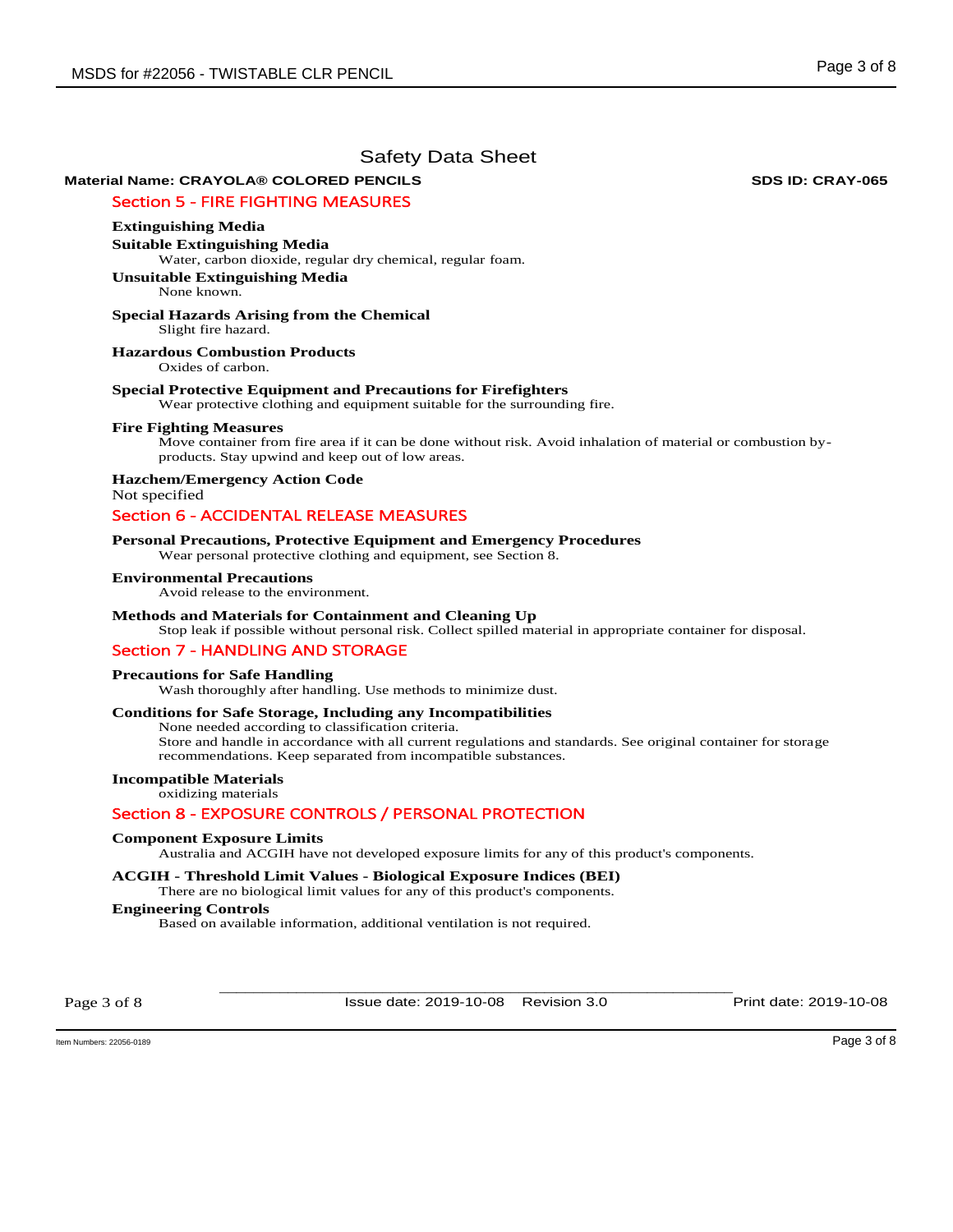# **Material Name: CRAYOLA® COLORED PENCILS SDS ID: CRAY-065**

## Section 5 - FIRE FIGHTING MEASURES

## **Extinguishing Media**

**Suitable Extinguishing Media**  Water, carbon dioxide, regular dry chemical, regular foam.

**Unsuitable Extinguishing Media** None known.

#### **Special Hazards Arising from the Chemical**  Slight fire hazard.

**Hazardous Combustion Products** 

Oxides of carbon.

#### **Special Protective Equipment and Precautions for Firefighters**

Wear protective clothing and equipment suitable for the surrounding fire.

#### **Fire Fighting Measures**

Move container from fire area if it can be done without risk. Avoid inhalation of material or combustion byproducts. Stay upwind and keep out of low areas.

**Hazchem/Emergency Action Code**  Not specified

# Section 6 - ACCIDENTAL RELEASE MEASURES

#### **Personal Precautions, Protective Equipment and Emergency Procedures**

Wear personal protective clothing and equipment, see Section 8.

#### **Environmental Precautions**

Avoid release to the environment.

### **Methods and Materials for Containment and Cleaning Up**

Stop leak if possible without personal risk. Collect spilled material in appropriate container for disposal.

## Section 7 - HANDLING AND STORAGE

#### **Precautions for Safe Handling**

Wash thoroughly after handling. Use methods to minimize dust.

## **Conditions for Safe Storage, Including any Incompatibilities**

None needed according to classification criteria. Store and handle in accordance with all current regulations and standards. See original container for storage recommendations. Keep separated from incompatible substances.

## **Incompatible Materials**

oxidizing materials

## Section 8 - EXPOSURE CONTROLS / PERSONAL PROTECTION

#### **Component Exposure Limits**

Australia and ACGIH have not developed exposure limits for any of this product's components.

## **ACGIH - Threshold Limit Values - Biological Exposure Indices (BEI)**

There are no biological limit values for any of this product's components.

## **Engineering Controls**

Based on available information, additional ventilation is not required.

Page 3 of 8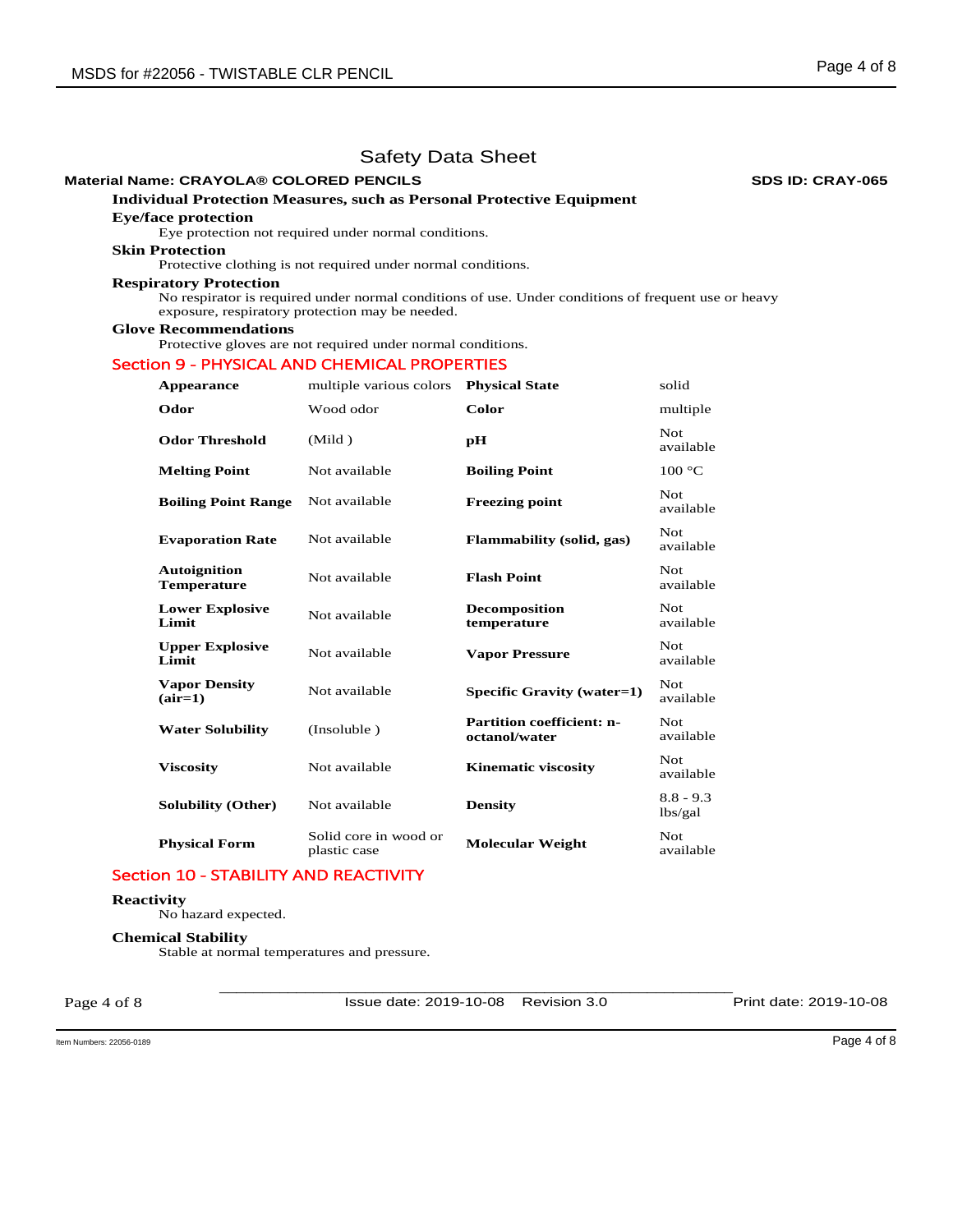# **Material Name: CRAYOLA® COLORED PENCILS SDS ID: CRAY-065**

# **Individual Protection Measures, such as Personal Protective Equipment**

## **Eye/face protection**

Eye protection not required under normal conditions.

# **Skin Protection**

Protective clothing is not required under normal conditions.

#### **Respiratory Protection**

No respirator is required under normal conditions of use. Under conditions of frequent use or heavy exposure, respiratory protection may be needed.

## **Glove Recommendations**

Protective gloves are not required under normal conditions.

## Section 9 - PHYSICAL AND CHEMICAL PROPERTIES

| Appearance                                | multiple various colors               | <b>Physical State</b>                             | solid                  |
|-------------------------------------------|---------------------------------------|---------------------------------------------------|------------------------|
| Odor                                      | Wood odor                             | Color                                             | multiple               |
| <b>Odor Threshold</b>                     | (Mild)                                | рH                                                | Not.<br>available      |
| <b>Melting Point</b>                      | Not available                         | <b>Boiling Point</b>                              | 100 °C                 |
| <b>Boiling Point Range</b>                | Not available                         | <b>Freezing point</b>                             | Not.<br>available      |
| <b>Evaporation Rate</b>                   | Not available                         | Flammability (solid, gas)                         | Not.<br>available      |
| <b>Autoignition</b><br><b>Temperature</b> | Not available                         | <b>Flash Point</b>                                | Not.<br>available      |
| <b>Lower Explosive</b><br>Limit           | Not available                         | <b>Decomposition</b><br>temperature               | Not.<br>available      |
| <b>Upper Explosive</b><br>Limit           | Not available                         | <b>Vapor Pressure</b>                             | Not<br>available       |
| <b>Vapor Density</b><br>$(air=1)$         | Not available                         | Specific Gravity (water=1)                        | Not.<br>available      |
| <b>Water Solubility</b>                   | (Insoluble)                           | <b>Partition coefficient: n-</b><br>octanol/water | Not.<br>available      |
| <b>Viscosity</b>                          | Not available                         | <b>Kinematic viscosity</b>                        | Not.<br>available      |
| <b>Solubility (Other)</b>                 | Not available                         | <b>Density</b>                                    | $8.8 - 9.3$<br>lbs/gal |
| <b>Physical Form</b>                      | Solid core in wood or<br>plastic case | <b>Molecular Weight</b>                           | Not.<br>available      |

## Section 10 - STABILITY AND REACTIVITY

## **Reactivity**

No hazard expected.

#### **Chemical Stability**

Stable at normal temperatures and pressure.

Page 4 of 8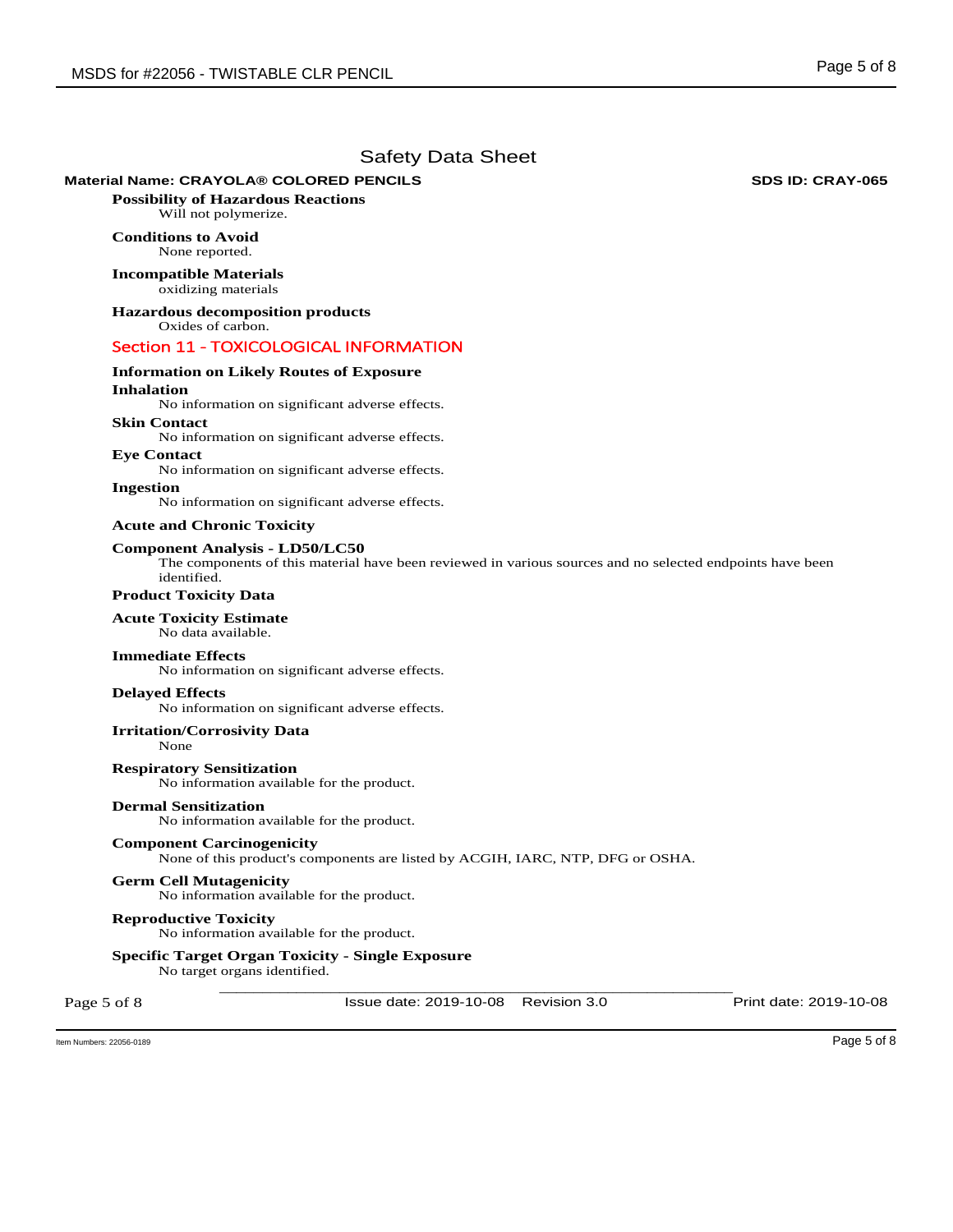## **Material Name: CRAYOLA® COLORED PENCILS SDS ID: CRAY-065**

**Possibility of Hazardous Reactions** Will not polymerize.

## **Conditions to Avoid** None reported.

**Incompatible Materials** oxidizing materials

**Hazardous decomposition products**  Oxides of carbon.

## Section 11 - TOXICOLOGICAL INFORMATION

# **Information on Likely Routes of Exposure**

## **Inhalation**

No information on significant adverse effects.

## **Skin Contact**

No information on significant adverse effects.

**Eye Contact**  No information on significant adverse effects.

## **Ingestion**

No information on significant adverse effects.

#### **Acute and Chronic Toxicity**

#### **Component Analysis - LD50/LC50**

The components of this material have been reviewed in various sources and no selected endpoints have been identified.

## **Product Toxicity Data**

## **Acute Toxicity Estimate**

No data available.

#### **Immediate Effects**

No information on significant adverse effects.

#### **Delayed Effects**

No information on significant adverse effects.

#### **Irritation/Corrosivity Data**

None

**Respiratory Sensitization**  No information available for the product.

## **Dermal Sensitization**

No information available for the product.

#### **Component Carcinogenicity**

None of this product's components are listed by ACGIH, IARC, NTP, DFG or OSHA.

#### **Germ Cell Mutagenicity**

No information available for the product.

#### **Reproductive Toxicity**

No information available for the product.

## **Specific Target Organ Toxicity - Single Exposure**

No target organs identified.

Page 5 of 8

\_\_\_\_\_\_\_\_\_\_\_\_\_\_\_\_\_\_\_\_\_\_\_\_\_\_\_\_\_\_\_\_\_\_\_\_\_\_\_\_\_\_\_\_\_\_\_\_\_\_\_\_\_\_\_\_\_\_\_\_ Issue date: 2019-10-08 Revision 3.0 Print date: 2019-10-08

Item Numbers: 22056-0189 Page 5 of 8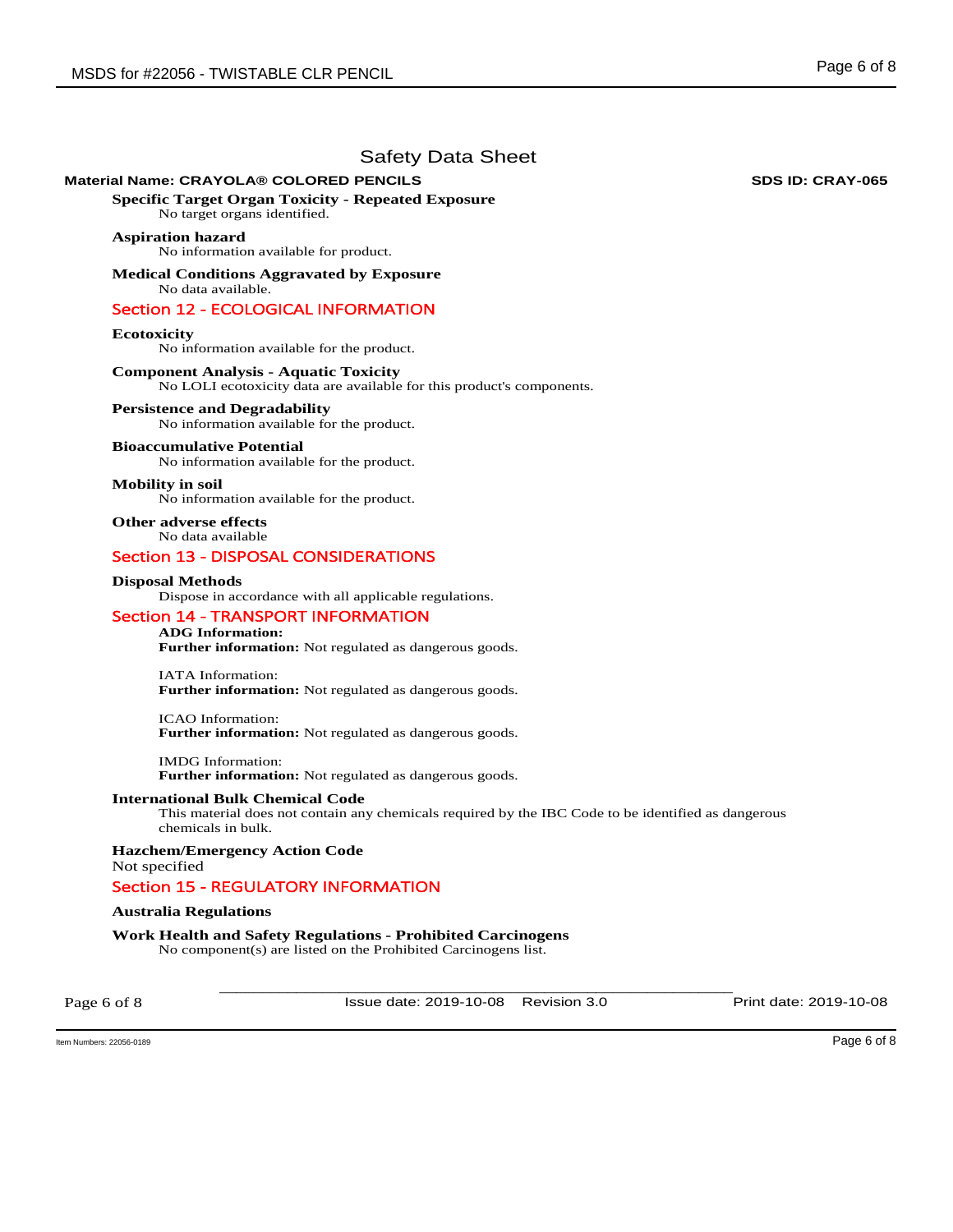## **Material Name: CRAYOLA® COLORED PENCILS SDS ID: CRAY-065**

**Specific Target Organ Toxicity - Repeated Exposure** 

No target organs identified.

## **Aspiration hazard**

No information available for product.

**Medical Conditions Aggravated by Exposure** No data available.

## Section 12 - ECOLOGICAL INFORMATION

## **Ecotoxicity**

No information available for the product.

## **Component Analysis - Aquatic Toxicity**

No LOLI ecotoxicity data are available for this product's components.

## **Persistence and Degradability**

No information available for the product.

#### **Bioaccumulative Potential**

No information available for the product.

#### **Mobility in soil**

No information available for the product.

**Other adverse effects**  No data available

## Section 13 - DISPOSAL CONSIDERATIONS

#### **Disposal Methods**

Dispose in accordance with all applicable regulations.

## Section 14 - TRANSPORT INFORMATION

## **ADG Information:**

**Further information:** Not regulated as dangerous goods.

IATA Information: **Further information:** Not regulated as dangerous goods.

ICAO Information: **Further information:** Not regulated as dangerous goods.

IMDG Information: **Further information:** Not regulated as dangerous goods.

#### **International Bulk Chemical Code**

This material does not contain any chemicals required by the IBC Code to be identified as dangerous chemicals in bulk.

**Hazchem/Emergency Action Code**  Not specified

## Section 15 - REGULATORY INFORMATION

#### **Australia Regulations**

**Work Health and Safety Regulations - Prohibited Carcinogens**  No component(s) are listed on the Prohibited Carcinogens list.

Page 6 of 8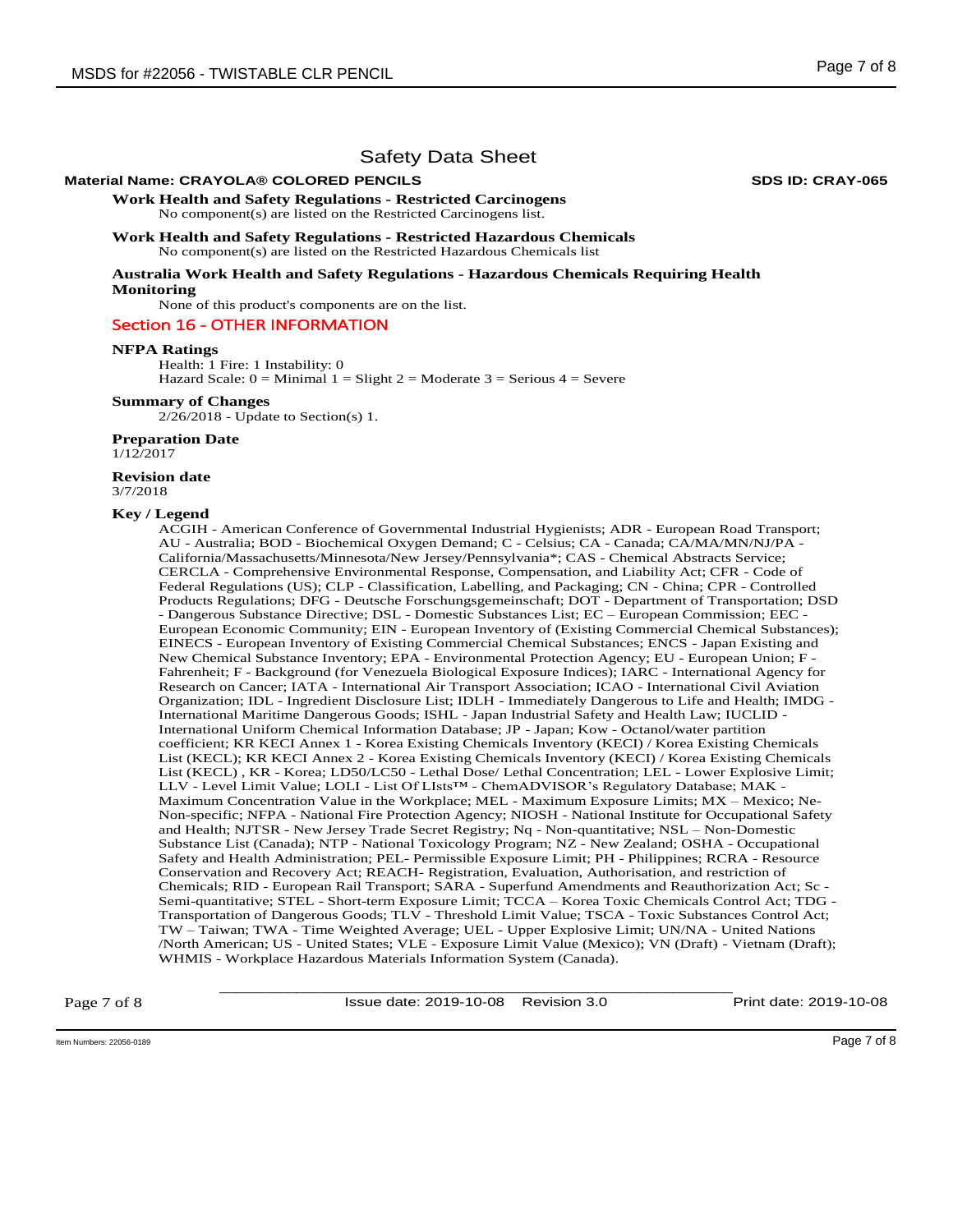## **Material Name: CRAYOLA® COLORED PENCILS SDS ID: CRAY-065**

**Work Health and Safety Regulations - Restricted Carcinogens**  No component(s) are listed on the Restricted Carcinogens list.

**Work Health and Safety Regulations - Restricted Hazardous Chemicals**  No component(s) are listed on the Restricted Hazardous Chemicals list

**Australia Work Health and Safety Regulations - Hazardous Chemicals Requiring Health Monitoring** 

None of this product's components are on the list.

### Section 16 - OTHER INFORMATION

#### **NFPA Ratings**

Health: 1 Fire: 1 Instability: 0 Hazard Scale:  $0 =$  Minimal  $1 =$  Slight  $2 =$  Moderate  $3 =$  Serious  $4 =$  Severe

#### **Summary of Changes**

2/26/2018 - Update to Section(s) 1.

#### **Preparation Date**

1/12/2017

# **Revision date**

3/7/2018

#### **Key / Legend**

ACGIH - American Conference of Governmental Industrial Hygienists; ADR - European Road Transport; AU - Australia; BOD - Biochemical Oxygen Demand; C - Celsius; CA - Canada; CA/MA/MN/NJ/PA - California/Massachusetts/Minnesota/New Jersey/Pennsylvania\*; CAS - Chemical Abstracts Service; CERCLA - Comprehensive Environmental Response, Compensation, and Liability Act; CFR - Code of Federal Regulations (US); CLP - Classification, Labelling, and Packaging; CN - China; CPR - Controlled Products Regulations; DFG - Deutsche Forschungsgemeinschaft; DOT - Department of Transportation; DSD - Dangerous Substance Directive; DSL - Domestic Substances List; EC – European Commission; EEC - European Economic Community; EIN - European Inventory of (Existing Commercial Chemical Substances); EINECS - European Inventory of Existing Commercial Chemical Substances; ENCS - Japan Existing and New Chemical Substance Inventory; EPA - Environmental Protection Agency; EU - European Union; F - Fahrenheit; F - Background (for Venezuela Biological Exposure Indices); IARC - International Agency for Research on Cancer; IATA - International Air Transport Association; ICAO - International Civil Aviation Organization; IDL - Ingredient Disclosure List; IDLH - Immediately Dangerous to Life and Health; IMDG - International Maritime Dangerous Goods; ISHL - Japan Industrial Safety and Health Law; IUCLID - International Uniform Chemical Information Database; JP - Japan; Kow - Octanol/water partition coefficient; KR KECI Annex 1 - Korea Existing Chemicals Inventory (KECI) / Korea Existing Chemicals List (KECL); KR KECI Annex 2 - Korea Existing Chemicals Inventory (KECI) / Korea Existing Chemicals List (KECL) , KR - Korea; LD50/LC50 - Lethal Dose/ Lethal Concentration; LEL - Lower Explosive Limit; LLV - Level Limit Value; LOLI - List Of LIsts™ - ChemADVISOR's Regulatory Database; MAK - Maximum Concentration Value in the Workplace; MEL - Maximum Exposure Limits; MX – Mexico; Ne-Non-specific; NFPA - National Fire Protection Agency; NIOSH - National Institute for Occupational Safety and Health; NJTSR - New Jersey Trade Secret Registry; Nq - Non-quantitative; NSL – Non-Domestic Substance List (Canada); NTP - National Toxicology Program; NZ - New Zealand; OSHA - Occupational Safety and Health Administration; PEL- Permissible Exposure Limit; PH - Philippines; RCRA - Resource Conservation and Recovery Act; REACH- Registration, Evaluation, Authorisation, and restriction of Chemicals; RID - European Rail Transport; SARA - Superfund Amendments and Reauthorization Act; Sc - Semi-quantitative; STEL - Short-term Exposure Limit; TCCA – Korea Toxic Chemicals Control Act; TDG - Transportation of Dangerous Goods; TLV - Threshold Limit Value; TSCA - Toxic Substances Control Act; TW – Taiwan; TWA - Time Weighted Average; UEL - Upper Explosive Limit; UN/NA - United Nations /North American; US - United States; VLE - Exposure Limit Value (Mexico); VN (Draft) - Vietnam (Draft); WHMIS - Workplace Hazardous Materials Information System (Canada).

Page 7 of 8